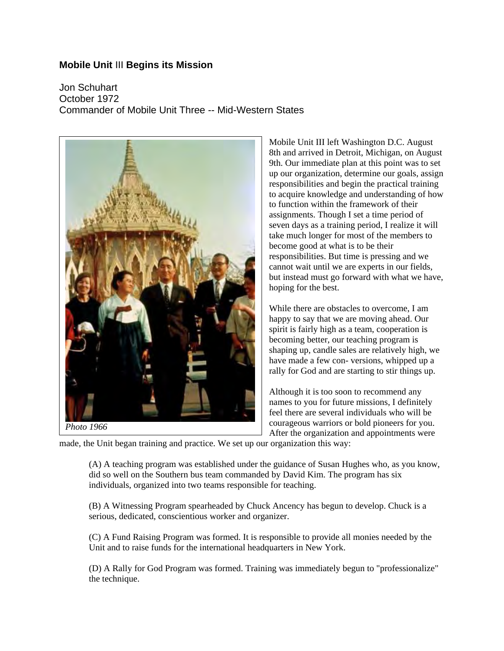## **Mobile Unit** III **Begins its Mission**

Jon Schuhart October 1972 Commander of Mobile Unit Three -- Mid-Western States



*Photo 1966*

Mobile Unit III left Washington D.C. August 8th and arrived in Detroit, Michigan, on August 9th. Our immediate plan at this point was to set up our organization, determine our goals, assign responsibilities and begin the practical training to acquire knowledge and understanding of how to function within the framework of their assignments. Though I set a time period of seven days as a training period, I realize it will take much longer for most of the members to become good at what is to be their responsibilities. But time is pressing and we cannot wait until we are experts in our fields, but instead must go forward with what we have, hoping for the best.

While there are obstacles to overcome, I am happy to say that we are moving ahead. Our spirit is fairly high as a team, cooperation is becoming better, our teaching program is shaping up, candle sales are relatively high, we have made a few con- versions, whipped up a rally for God and are starting to stir things up.

Although it is too soon to recommend any names to you for future missions, I definitely feel there are several individuals who will be courageous warriors or bold pioneers for you. After the organization and appointments were

made, the Unit began training and practice. We set up our organization this way:

(A) A teaching program was established under the guidance of Susan Hughes who, as you know, did so well on the Southern bus team commanded by David Kim. The program has six individuals, organized into two teams responsible for teaching.

(B) A Witnessing Program spearheaded by Chuck Ancency has begun to develop. Chuck is a serious, dedicated, conscientious worker and organizer.

(C) A Fund Raising Program was formed. It is responsible to provide all monies needed by the Unit and to raise funds for the international headquarters in New York.

(D) A Rally for God Program was formed. Training was immediately begun to "professionalize" the technique.